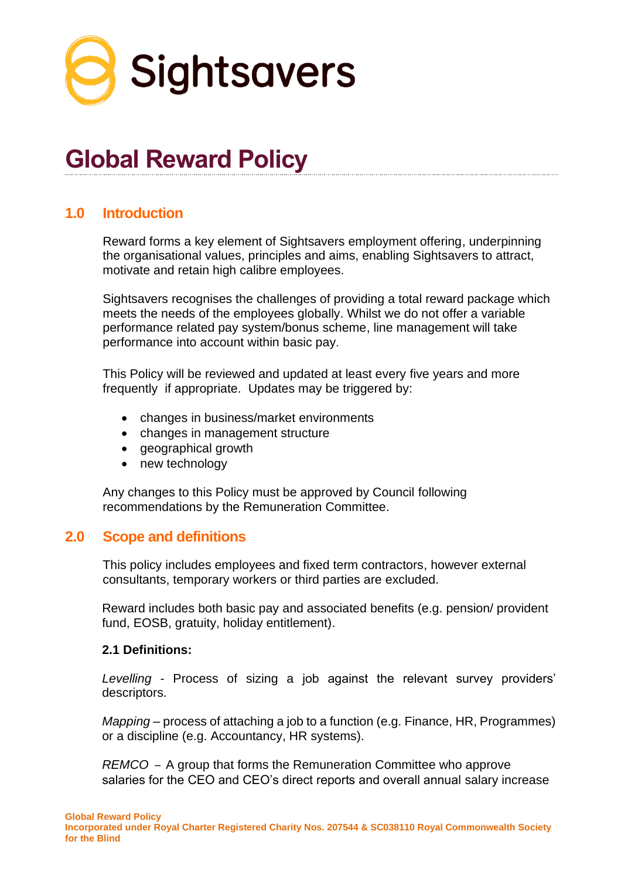

# **Global Reward Policy**

# **1.0 Introduction**

Reward forms a key element of Sightsavers employment offering, underpinning the organisational values, principles and aims, enabling Sightsavers to attract, motivate and retain high calibre employees.

Sightsavers recognises the challenges of providing a total reward package which meets the needs of the employees globally. Whilst we do not offer a variable performance related pay system/bonus scheme, line management will take performance into account within basic pay.

This Policy will be reviewed and updated at least every five years and more frequently if appropriate. Updates may be triggered by:

- changes in business/market environments
- changes in management structure
- geographical growth
- new technology

Any changes to this Policy must be approved by Council following recommendations by the Remuneration Committee.

# **2.0 Scope and definitions**

This policy includes employees and fixed term contractors, however external consultants, temporary workers or third parties are excluded.

Reward includes both basic pay and associated benefits (e.g. pension/ provident fund, EOSB, gratuity, holiday entitlement).

#### **2.1 Definitions:**

*Levelling* - Process of sizing a job against the relevant survey providers' descriptors.

*Mapping* – process of attaching a job to a function (e.g. Finance, HR, Programmes) or a discipline (e.g. Accountancy, HR systems).

*REMCO* – A group that forms the Remuneration Committee who approve salaries for the CEO and CEO's direct reports and overall annual salary increase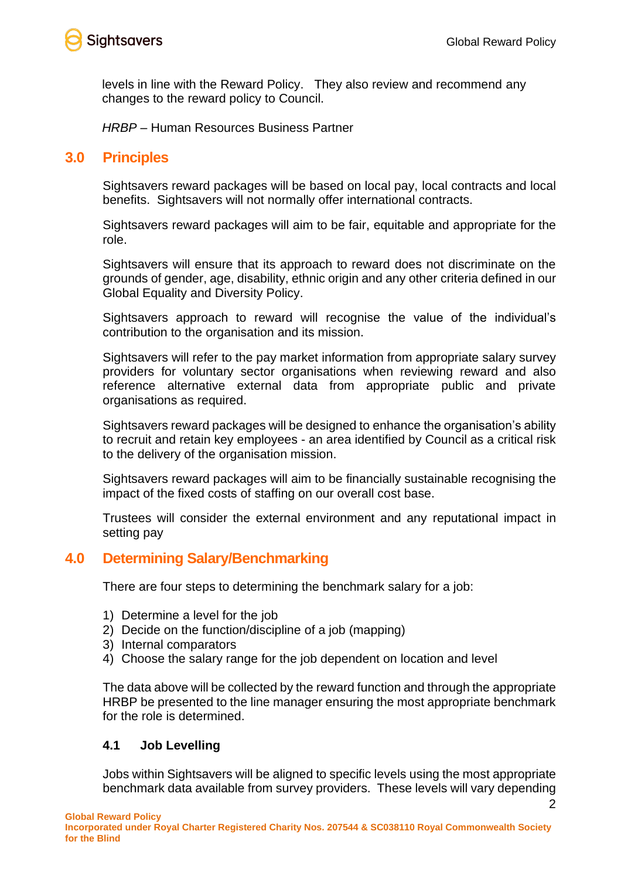

2

levels in line with the Reward Policy. They also review and recommend any changes to the reward policy to Council.

*HRBP* – Human Resources Business Partner

## **3.0 Principles**

Sightsavers reward packages will be based on local pay, local contracts and local benefits. Sightsavers will not normally offer international contracts.

Sightsavers reward packages will aim to be fair, equitable and appropriate for the role.

Sightsavers will ensure that its approach to reward does not discriminate on the grounds of gender, age, disability, ethnic origin and any other criteria defined in our Global Equality and Diversity Policy.

Sightsavers approach to reward will recognise the value of the individual's contribution to the organisation and its mission.

Sightsavers will refer to the pay market information from appropriate salary survey providers for voluntary sector organisations when reviewing reward and also reference alternative external data from appropriate public and private organisations as required.

Sightsavers reward packages will be designed to enhance the organisation's ability to recruit and retain key employees - an area identified by Council as a critical risk to the delivery of the organisation mission.

Sightsavers reward packages will aim to be financially sustainable recognising the impact of the fixed costs of staffing on our overall cost base.

Trustees will consider the external environment and any reputational impact in setting pay

# **4.0 Determining Salary/Benchmarking**

There are four steps to determining the benchmark salary for a job:

- 1) Determine a level for the job
- 2) Decide on the function/discipline of a job (mapping)
- 3) Internal comparators
- 4) Choose the salary range for the job dependent on location and level

The data above will be collected by the reward function and through the appropriate HRBP be presented to the line manager ensuring the most appropriate benchmark for the role is determined.

#### **4.1 Job Levelling**

Jobs within Sightsavers will be aligned to specific levels using the most appropriate benchmark data available from survey providers. These levels will vary depending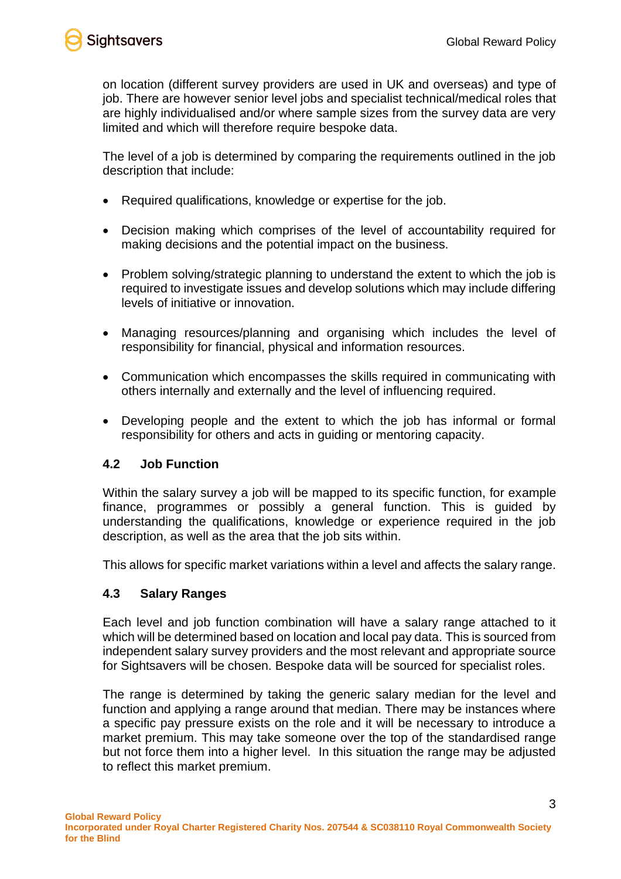

on location (different survey providers are used in UK and overseas) and type of job. There are however senior level jobs and specialist technical/medical roles that are highly individualised and/or where sample sizes from the survey data are very limited and which will therefore require bespoke data.

The level of a job is determined by comparing the requirements outlined in the job description that include:

- Required qualifications, knowledge or expertise for the job.
- Decision making which comprises of the level of accountability required for making decisions and the potential impact on the business.
- Problem solving/strategic planning to understand the extent to which the job is required to investigate issues and develop solutions which may include differing levels of initiative or innovation.
- Managing resources/planning and organising which includes the level of responsibility for financial, physical and information resources.
- Communication which encompasses the skills required in communicating with others internally and externally and the level of influencing required.
- Developing people and the extent to which the job has informal or formal responsibility for others and acts in guiding or mentoring capacity.

#### **4.2 Job Function**

Within the salary survey a job will be mapped to its specific function, for example finance, programmes or possibly a general function. This is guided by understanding the qualifications, knowledge or experience required in the job description, as well as the area that the job sits within.

This allows for specific market variations within a level and affects the salary range.

#### **4.3 Salary Ranges**

Each level and job function combination will have a salary range attached to it which will be determined based on location and local pay data. This is sourced from independent salary survey providers and the most relevant and appropriate source for Sightsavers will be chosen. Bespoke data will be sourced for specialist roles.

The range is determined by taking the generic salary median for the level and function and applying a range around that median. There may be instances where a specific pay pressure exists on the role and it will be necessary to introduce a market premium. This may take someone over the top of the standardised range but not force them into a higher level. In this situation the range may be adjusted to reflect this market premium.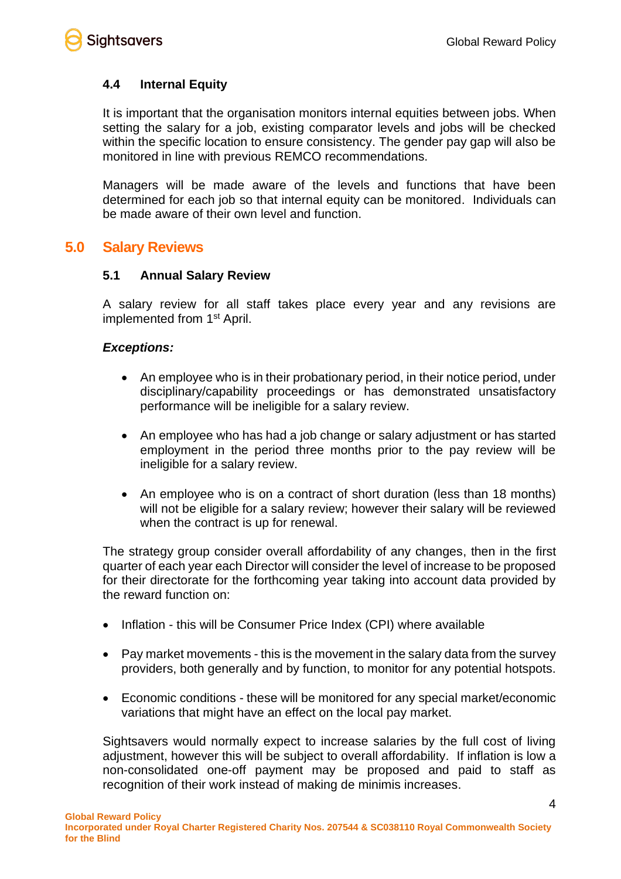

#### **4.4 Internal Equity**

It is important that the organisation monitors internal equities between jobs. When setting the salary for a job, existing comparator levels and jobs will be checked within the specific location to ensure consistency. The gender pay gap will also be monitored in line with previous REMCO recommendations.

Managers will be made aware of the levels and functions that have been determined for each job so that internal equity can be monitored. Individuals can be made aware of their own level and function.

## **5.0 Salary Reviews**

#### **5.1 Annual Salary Review**

A salary review for all staff takes place every year and any revisions are implemented from 1<sup>st</sup> April.

#### *Exceptions:*

- An employee who is in their probationary period, in their notice period, under disciplinary/capability proceedings or has demonstrated unsatisfactory performance will be ineligible for a salary review.
- An employee who has had a job change or salary adjustment or has started employment in the period three months prior to the pay review will be ineligible for a salary review.
- An employee who is on a contract of short duration (less than 18 months) will not be eligible for a salary review; however their salary will be reviewed when the contract is up for renewal.

The strategy group consider overall affordability of any changes, then in the first quarter of each year each Director will consider the level of increase to be proposed for their directorate for the forthcoming year taking into account data provided by the reward function on:

- Inflation this will be Consumer Price Index (CPI) where available
- Pay market movements this is the movement in the salary data from the survey providers, both generally and by function, to monitor for any potential hotspots.
- Economic conditions these will be monitored for any special market/economic variations that might have an effect on the local pay market.

Sightsavers would normally expect to increase salaries by the full cost of living adjustment, however this will be subject to overall affordability. If inflation is low a non-consolidated one-off payment may be proposed and paid to staff as recognition of their work instead of making de minimis increases.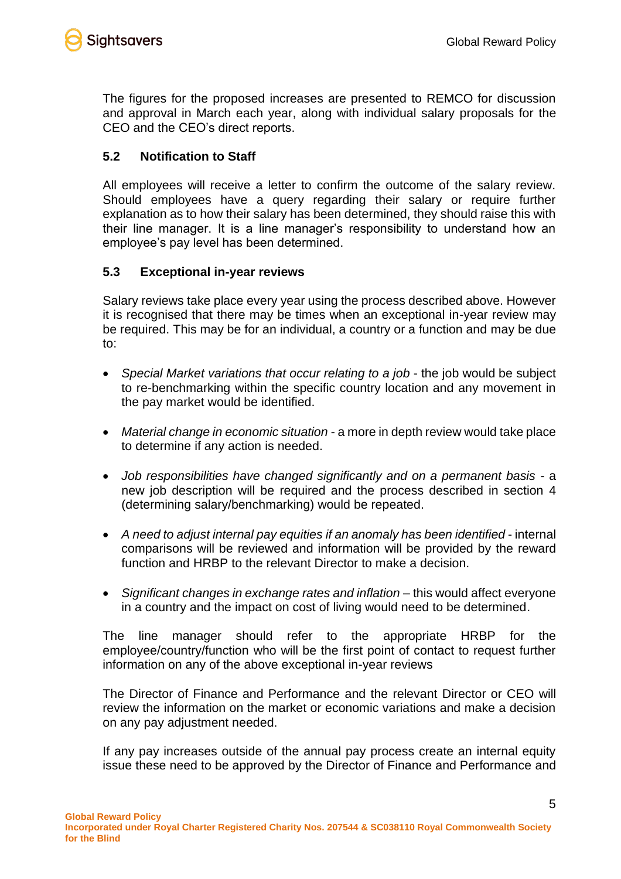The figures for the proposed increases are presented to REMCO for discussion and approval in March each year, along with individual salary proposals for the CEO and the CEO's direct reports.

## **5.2 Notification to Staff**

All employees will receive a letter to confirm the outcome of the salary review. Should employees have a query regarding their salary or require further explanation as to how their salary has been determined, they should raise this with their line manager. It is a line manager's responsibility to understand how an employee's pay level has been determined.

#### **5.3 Exceptional in-year reviews**

Salary reviews take place every year using the process described above. However it is recognised that there may be times when an exceptional in-year review may be required. This may be for an individual, a country or a function and may be due to:

- *Special Market variations that occur relating to a job* the job would be subject to re-benchmarking within the specific country location and any movement in the pay market would be identified.
- *Material change in economic situation*  a more in depth review would take place to determine if any action is needed.
- *Job responsibilities have changed significantly and on a permanent basis* a new job description will be required and the process described in section 4 (determining salary/benchmarking) would be repeated.
- *A need to adjust internal pay equities if an anomaly has been identified*  internal comparisons will be reviewed and information will be provided by the reward function and HRBP to the relevant Director to make a decision.
- *Significant changes in exchange rates and inflation* this would affect everyone in a country and the impact on cost of living would need to be determined.

The line manager should refer to the appropriate HRBP for the employee/country/function who will be the first point of contact to request further information on any of the above exceptional in-year reviews

The Director of Finance and Performance and the relevant Director or CEO will review the information on the market or economic variations and make a decision on any pay adjustment needed.

If any pay increases outside of the annual pay process create an internal equity issue these need to be approved by the Director of Finance and Performance and